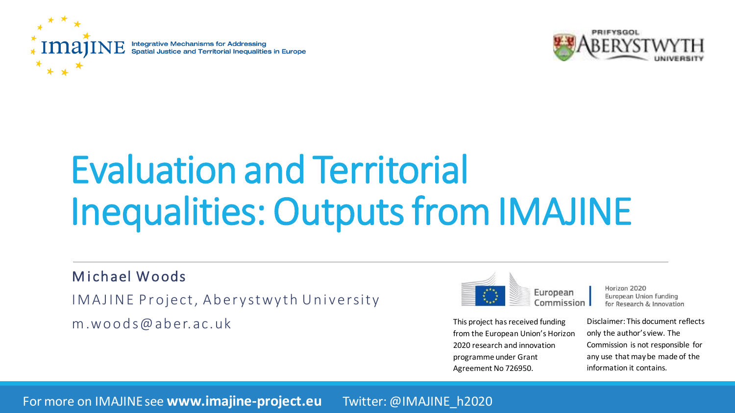**Integrative Mechanisms for Addressing** Spatial Justice and Territorial Inequalities in Europe



# Evaluation and Territorial Inequalities: Outputs from IMAJINE

M i ch ael W o ods

I MAJINE Project, Aberystwyth University

 $m.$  W O O  $d$  S  $@$  a  $b$  e  $r.$  a  $c.$  u  $k$ 



Horizon 2020 European Union funding for Research & Innovation

from the European Union's Horizon 2020 research and innovation programme under Grant Agreement No 726950.

Disclaimer: This document reflects only the author's view. The Commission is not responsible for

any use that may be made of the

information it contains.

For more on IMAJINE see **www.imajine-project.eu** Twitter: @IMAJINE\_h2020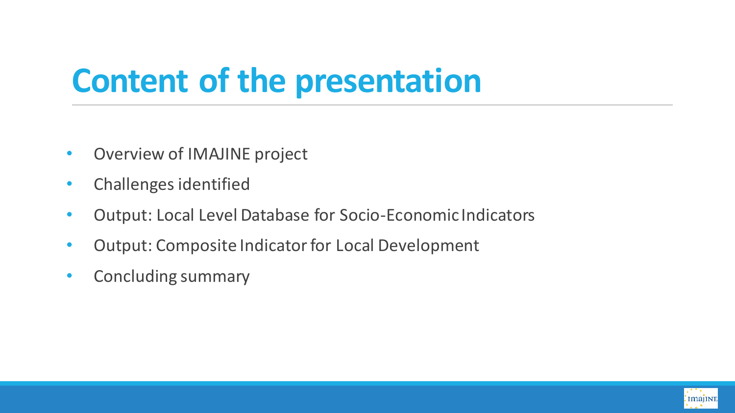# **Content of the presentation**

- Overview of IMAJINE project
- Challenges identified
- Output: Local Level Database for Socio-Economic Indicators
- Output: Composite Indicator for Local Development
- Concluding summary

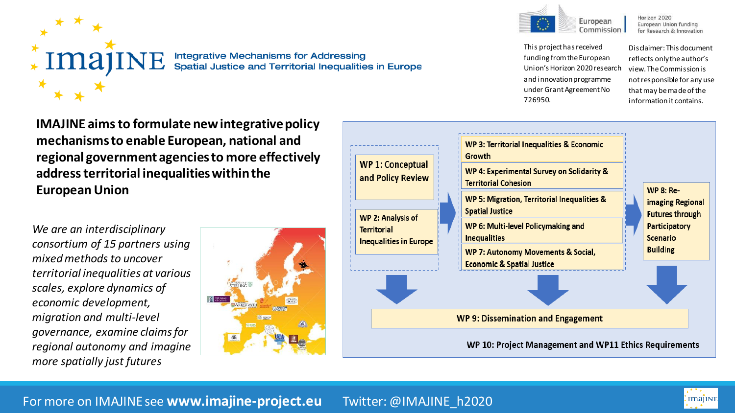

**Integrative Mechanisms for Addressing** Spatial Justice and Territorial Inequalities in Europe



Horizon 2020 European Union funding for Research & Innovation

This project has received funding from the European Union's Horizon 2020 research and innovation programme under Grant Agreement No 726950.

Disclaimer: This document reflects only the author's view. The Commission is not responsible for any use that may be made of the information it contains.

**IMAJINE aims to formulate new integrative policy mechanisms to enable European, national and regional government agencies to more effectively address territorial inequalities within the European Union**

*We are an interdisciplinary consortium of 15 partners using mixed methods to uncover territorial inequalities at various scales, explore dynamics of economic development, migration and multi-level governance, examine claims for regional autonomy and imagine more spatially just futures*





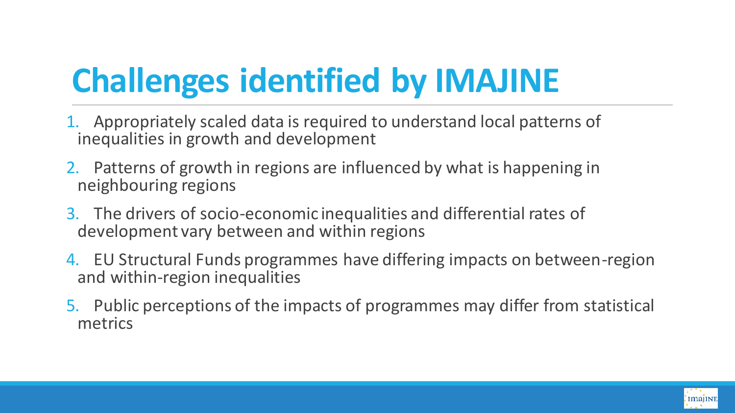# **Challenges identified by IMAJINE**

- 1. Appropriately scaled data is required to understand local patterns of inequalities in growth and development
- 2. Patterns of growth in regions are influenced by what is happening in neighbouring regions
- 3. The drivers of socio-economic inequalities and differential rates of development vary between and within regions
- 4. EU Structural Funds programmes have differing impacts on between-region and within-region inequalities
- 5. Public perceptions of the impacts of programmes may differ from statistical metrics

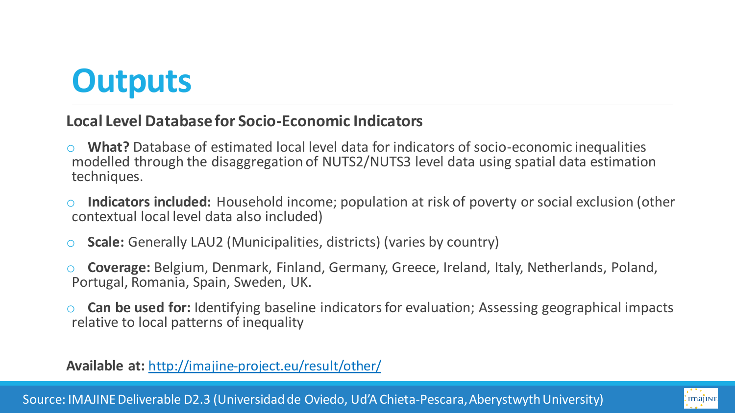# **Outputs**

#### **Local Level Database for Socio-Economic Indicators**

- What? Database of estimated local level data for indicators of socio-economic inequalities modelled through the disaggregation of NUTS2/NUTS3 level data using spatial data estimation techniques.
- o **Indicators included:** Household income; population at risk of poverty or social exclusion (other contextual local level data also included)
- **Scale:** Generally LAU2 (Municipalities, districts) (varies by country)
- o **Coverage:** Belgium, Denmark, Finland, Germany, Greece, Ireland, Italy, Netherlands, Poland, Portugal, Romania, Spain, Sweden, UK.
- **Can be used for:** Identifying baseline indicators for evaluation; Assessing geographical impacts relative to local patterns of inequality

**Available at:** <http://imajine-project.eu/result/other/>

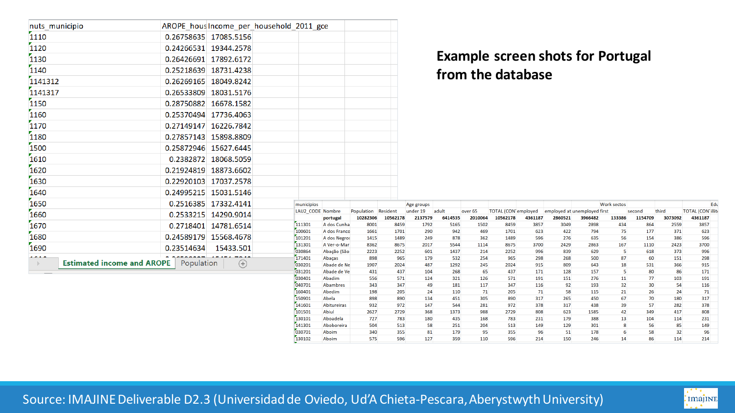| nuts_municipio                                    | AROPE hous Income per household 2011 gce |                                                |                                       |
|---------------------------------------------------|------------------------------------------|------------------------------------------------|---------------------------------------|
| 1110                                              | 0.26758635<br>17085.5156                 |                                                |                                       |
| 1120                                              | 0.24266531<br>19344.2578                 |                                                |                                       |
| 1130                                              | 0.26426691<br>17892.6172                 |                                                |                                       |
| 1140                                              | 0.25218639<br>18731.4238                 |                                                |                                       |
| 1141312                                           | 0.26269165<br>18049.8242                 |                                                |                                       |
| 1141317                                           | 0.26533809<br>18031.5176                 |                                                |                                       |
| 1150                                              | 0.28750882<br>16678.1582                 |                                                |                                       |
| 1160                                              | 0.25370494<br>17736.4063                 |                                                |                                       |
| 1170                                              | 0.27149147<br>16226.7842                 |                                                |                                       |
| 1180                                              | 0.27857143<br>15898.8809                 |                                                |                                       |
| 1500                                              | 0.25872946<br>15627.6445                 |                                                |                                       |
| 1610                                              | 0.2382872<br>18068.5059                  |                                                |                                       |
| 1620                                              | 0.21924819<br>18873.6602                 |                                                |                                       |
| 1630                                              | 0.22920103<br>17037.2578                 |                                                |                                       |
| 1640                                              | 0.24995215<br>15031.5146                 |                                                |                                       |
| 1650                                              | 0.2516385<br>17332.4141                  | municipios                                     |                                       |
| 1660                                              | 0.2533215<br>14290.9014                  | LAU2 CODE Nombre<br>portugal                   | Population<br>Resio<br>10282306<br>10 |
| 1670                                              | 0.2718401<br>14781.6514                  | 111301<br>A dos Cunha                          | 8001                                  |
| 1680                                              |                                          | 100601<br>A dos Franco                         | 1661                                  |
|                                                   | 0.24589179<br>15568.4678                 | 101201<br>A dos Negros                         | 1415                                  |
| 1690                                              | 0.23514634<br>15433.501                  | 131301<br>A Ver-o-Mar<br>030864<br>Abação (São | 8362<br>2223                          |
|                                                   | Population                               | 171401<br>Abaças                               | 898                                   |
| <b>Estimated income and AROPE</b><br>$\mathbb{R}$ | 030201<br>Abade de Ne                    | 1907                                           |                                       |
|                                                   | 031201<br>Abade de Ve                    | 431                                            |                                       |

#### **Example screen shots for Portugal from the database**

| municipios       |                    |            |          | Age groups |         |         |                            |         |         |                              | <b>Work sectos</b> |         |         |                          | Edu |
|------------------|--------------------|------------|----------|------------|---------|---------|----------------------------|---------|---------|------------------------------|--------------------|---------|---------|--------------------------|-----|
| LAU2 CODE Nombre |                    | Population | Resident | under 19   | adult   | over 65 | <b>TOTAL</b> (CON employed |         |         | employed at unemployed first |                    | second  | third   | <b>TOTAL (CON illite</b> |     |
|                  | portugal           | 10282306   | 10562178 | 2137579    | 6414535 | 2010064 | 10562178                   | 4361187 | 2860521 | 3966482                      | 133386             | 1154709 | 3073092 | 4361187                  |     |
| 111301           | A dos Cunha        | 8001       | 8459     | 1792       | 5165    | 1502    | 8459                       | 3857    | 3049    | 2898                         | 434                | 864     | 2559    | 3857                     |     |
| 100601           | A dos Franco       | 1661       | 1701     | 290        | 942     | 469     | 1701                       | 623     | 422     | 794                          | 75                 | 177     | 371     | 623                      |     |
| 101201           | A dos Negros       | 1415       | 1489     | 249        | 878     | 362     | 1489                       | 596     | 276     | 635                          | 56                 | 154     | 386     | 596                      |     |
| 131301           | A Ver-o-Mar        | 8362       | 8675     | 2017       | 5544    | 1114    | 8675                       | 3700    | 2429    | 2863                         | 167                | 1110    | 2423    | 3700                     |     |
| 030864           | Abação (São        | 2223       | 2252     | 601        | 1437    | 214     | 2252                       | 996     | 839     | 629                          | 5                  | 618     | 373     | 996                      |     |
| 171401           | Abaças             | 898        | 965      | 179        | 532     | 254     | 965                        | 298     | 268     | 500                          | 87                 | 60      | 151     | 298                      |     |
| 030201           | Abade de Ne        | 1907       | 2024     | 487        | 1292    | 245     | 2024                       | 915     | 809     | 643                          | 18                 | 531     | 366     | 915                      |     |
| 031201           | Abade de Ve        | 431        | 437      | 104        | 268     | 65      | 437                        | 171     | 128     | 157                          | 5                  | 80      | 86      | 171                      |     |
| 030401           | Abadim             | 556        | 571      | 124        | 321     | 126     | 571                        | 191     | 151     | 276                          | 11                 | 77      | 103     | 191                      |     |
| 040701           | Abambres           | 343        | 347      | 49         | 181     | 117     | 347                        | 116     | 92      | 193                          | 32                 | 30      | 54      | 116                      |     |
| 160401           | Abedim             | 198        | 205      | 24         | 110     | 71      | 205                        | 71      | 58      | 115                          | 21                 | 26      | 24      | 71                       |     |
| 150901           | Abela              | 898        | 890      | 134        | 451     | 305     | 890                        | 317     | 265     | 450                          | 67                 | 70      | 180     | 317                      |     |
| 141601           | <b>Abitureiras</b> | 932        | 972      | 147        | 544     | 281     | 972                        | 378     | 317     | 438                          | 39                 | 57      | 282     | 378                      |     |
| 101501           | Abiul              | 2627       | 2729     | 368        | 1373    | 988     | 2729                       | 808     | 623     | 1585                         | 42                 | 349     | 417     | 808                      |     |
| 130101           | Aboadela           | 727        | 783      | 180        | 435     | 168     | 783                        | 231     | 179     | 388                          | 13                 | 104     | 114     | 231                      |     |
| 141301           | Aboboreira         | 504        | 513      | 58         | 251     | 204     | 513                        | 149     | 129     | 301                          | 8                  | 56      | 85      | 149                      |     |
| 030701           | Aboim              | 340        | 355      | 81         | 179     | 95      | 355                        | 96      | 51      | 178                          | 6                  | 58      | 32      | 96                       |     |
| 130102           | Aboim              | 575        | 596      | 127        | 359     | 110     | 596                        | 214     | 150     | 246                          | 14                 | 86      | 114     | 214                      |     |

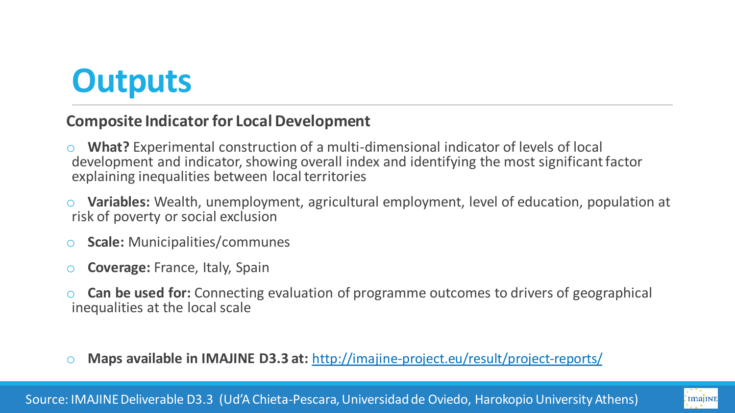# **Outputs**

#### **Composite Indicator for Local Development**

- **What?** Experimental construction of a multi-dimensional indicator of levels of local development and indicator, showing overall index and identifying the most significant factor explaining inequalities between local territories
- **Variables:** Wealth, unemployment, agricultural employment, level of education, population at risk of poverty or social exclusion
- **Scale: Municipalities/communes**
- o **Coverage:** France, Italy, Spain
- **Can be used for:** Connecting evaluation of programme outcomes to drivers of geographical inequalities at the local scale
- o **Maps available in IMAJINE D3.3 at:** <http://imajine-project.eu/result/project-reports/>

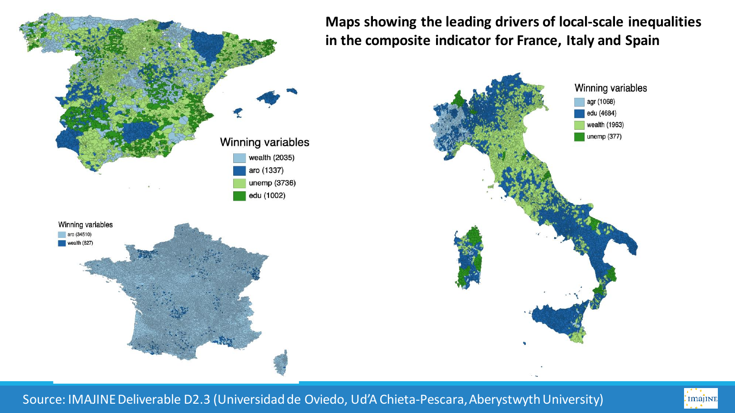

**Maps showing the leading drivers of local-scale inequalities in the composite indicator for France, Italy and Spain**



Source: IMAJINE Deliverable D2.3 (Universidad de Oviedo, Ud'A Chieta-Pescara, Aberystwyth University)